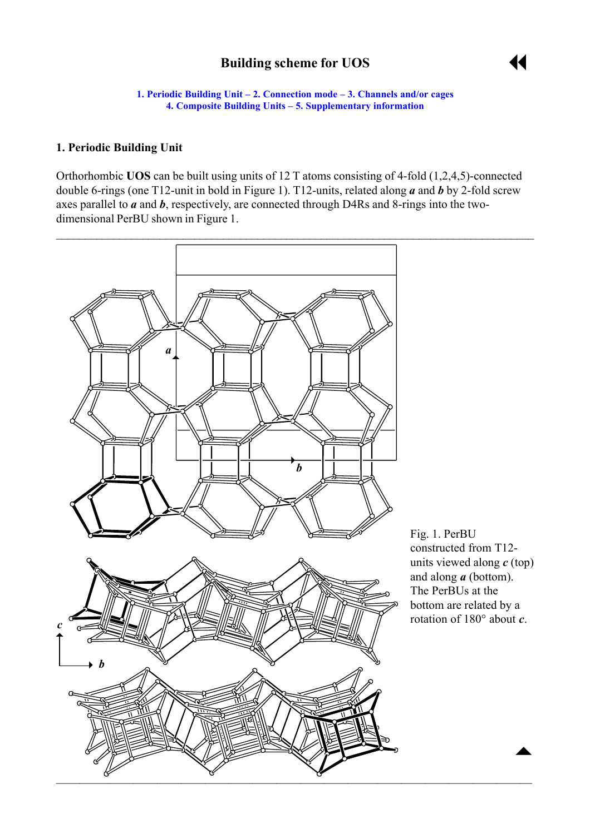# **Building scheme for UOS**



**1. Periodic Building Unit – [2. Connection mode](#page-1-0) – [3. Channels and/or cages](#page-2-0) [4. Composite Building Units](#page-3-0) [– 5. Supplementary information](#page-3-0)**

#### <span id="page-0-0"></span>**1. Periodic Building Unit**

Orthorhombic **UOS** can be built using units of 12 T atoms consisting of 4-fold (1,2,4,5)-connected double 6-rings (one T12-unit in bold in Figure 1). T12-units, related along *a* and *b* by 2-fold screw axes parallel to *a* and *b*, respectively, are connected through D4Rs and 8-rings into the twodimensional PerBU shown in Figure 1.

 $\mathcal{L}_\mathcal{L} = \mathcal{L}_\mathcal{L} = \mathcal{L}_\mathcal{L} = \mathcal{L}_\mathcal{L} = \mathcal{L}_\mathcal{L} = \mathcal{L}_\mathcal{L} = \mathcal{L}_\mathcal{L} = \mathcal{L}_\mathcal{L} = \mathcal{L}_\mathcal{L} = \mathcal{L}_\mathcal{L} = \mathcal{L}_\mathcal{L} = \mathcal{L}_\mathcal{L} = \mathcal{L}_\mathcal{L} = \mathcal{L}_\mathcal{L} = \mathcal{L}_\mathcal{L} = \mathcal{L}_\mathcal{L} = \mathcal{L}_\mathcal{L}$ 



Fig. 1. PerBU constructed from T12 units viewed along *c* (top) and along *a* (bottom). The PerBUs at the bottom are related by a rotation of 180° about *c*.

 $\blacktriangle$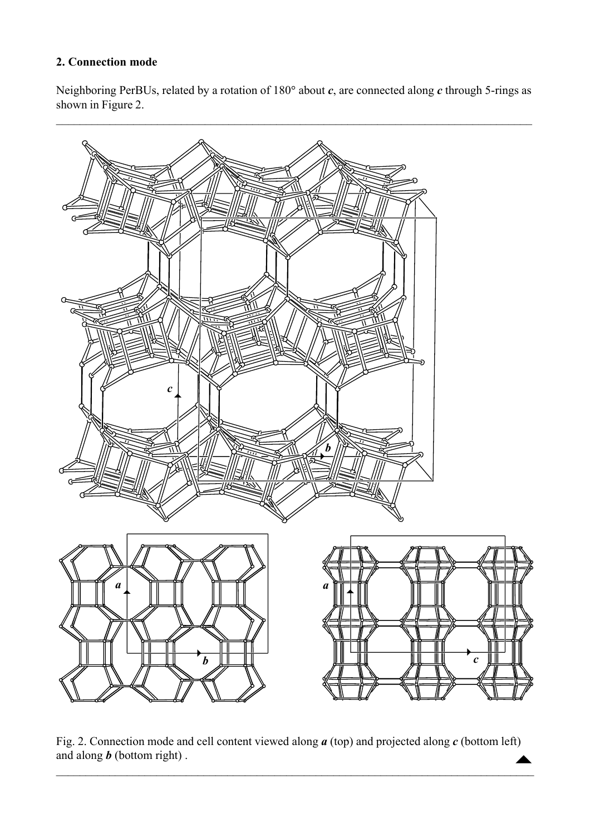# <span id="page-1-0"></span>**2. Connection mode**

Neighboring PerBUs, related by a rotation of 180° about *c*, are connected along *c* through 5-rings as shown in Figure 2.



Fig. 2. Connection mode and cell content viewed along  $a$  (top) and projected along  $c$  (bottom left) and along  $b$  (bottom right). and along *b* (bottom right) .  $\mathcal{L}_\mathcal{L} = \{ \mathcal{L}_\mathcal{L} = \{ \mathcal{L}_\mathcal{L} = \{ \mathcal{L}_\mathcal{L} = \{ \mathcal{L}_\mathcal{L} = \{ \mathcal{L}_\mathcal{L} = \{ \mathcal{L}_\mathcal{L} = \{ \mathcal{L}_\mathcal{L} = \{ \mathcal{L}_\mathcal{L} = \{ \mathcal{L}_\mathcal{L} = \{ \mathcal{L}_\mathcal{L} = \{ \mathcal{L}_\mathcal{L} = \{ \mathcal{L}_\mathcal{L} = \{ \mathcal{L}_\mathcal{L} = \{ \mathcal{L}_\mathcal{$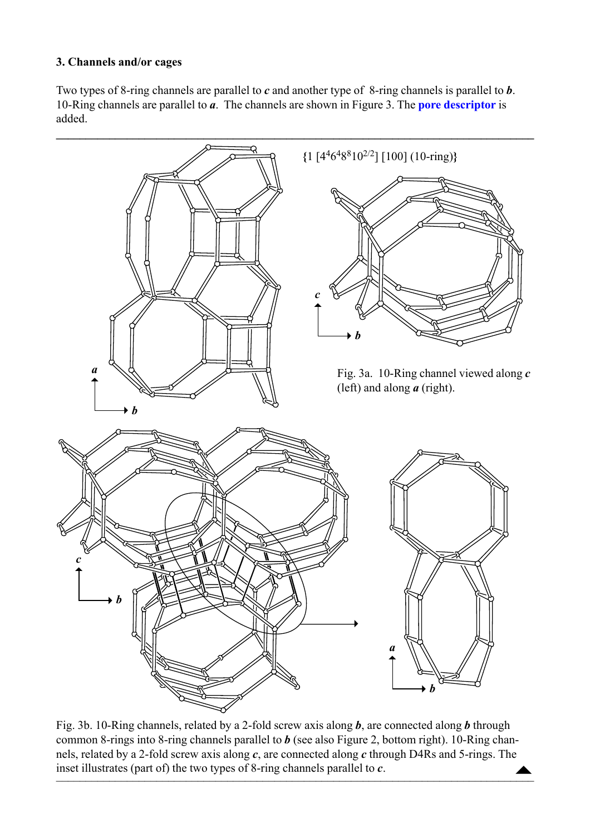## <span id="page-2-0"></span>**3. Channels and/or cages**

Two types of 8-ring channels are parallel to *c* and another type of 8-ring channels is parallel to *b*. 10-Ring channels are parallel to *a*. The channels are shown in Figure 3. The **[pore descriptor](http://www.iza-structure.org/databases/ModelBuilding/Introduction.pdf)** is added.



Fig. 3b. 10-Ring channels, related by a 2-fold screw axis along *b*, are connected along *b* through common 8-rings into 8-ring channels parallel to *b* (see also Figure 2, bottom right). 10-Ring channels, related by a 2-fold screw axis along *c*, are connected along *c* through D4Rs and 5-rings. The nets, related by a 2-rold screw axis along c, are connected along c through D4Rs and 5-rings. The<br>inset illustrates (part of) the two types of 8-ring channels parallel to c.